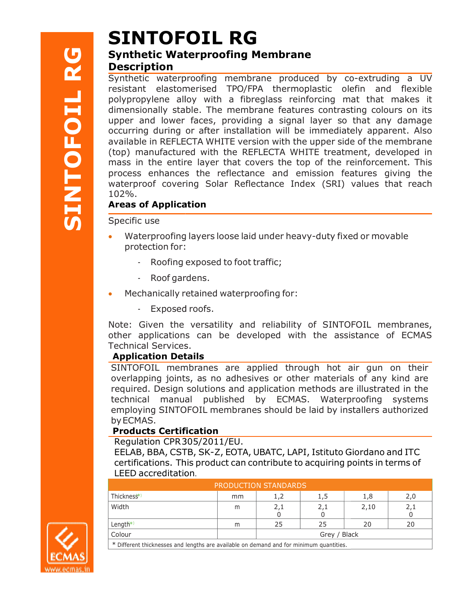# ${\bf SINTOFOLL\,\,RG} \nonumber$ SINTOFOIL RG

# Synthetic Waterproofing Description

**Synthetic Waterproofing Memb**<br> **Description**<br>
Synthetic waterproofing membrane p<br>
resistant elastomerised TPO/FPA the<br>
polypropylene alloy with a fibreglass<br>
dimensionally stable. The membrane fe<br>
upper and lower faces, p Synthetic waterproofing membrane produced by co-extruding a UV Synthetic waterproofing membrane produced by co-extruding a UV<br>resistant elastomerised TPO/FPA thermoplastic olefin and flexible polypropylene alloy with a fibreglass reinforcing mat that makes it polypropylene alloy with a fibreglass reinforcing mat that makes it<br>dimensionally stable. The membrane features contrasting colours on its upper and lower faces, providing a signal layer so that any damage occurring during or after installation will be immediately apparent. Also available in REFLECTA WHITE version with the upper side of the membrane (top) manufactured with the REFLECTA WHITE treatment, developed in mass in the entire layer that covers the top of the reinforcement. This process enhances enhances the reflectance and emission features giving the waterproof covering Solar Reflectance Index (SRI) values that reach 102%. mithelic waterproofing membrane produced by co-extruding a UV<br>
sistant elastomerised TPO/FPA thermoplastic olefin and flexible<br>
sistant elastomerised TPO/FPA thermoplastic colefin and flexible<br>
mensionally stable. The mem

## Areas of Application **provides a set of Application**

#### Specific use

- Waterproofing Waterproofing layers loose laid under heavy-duty fixed fixed or movable protection for:
	- Roofing exposed to foot traffic;
	- Roof gardens.
- Mechanically retained waterproofing for:
	- Exposed Exposed roofs.

Note: Given the versatility and reliability of SINTOFOIL membranes,<br>other applications can be developed with the assistance of ECMAS other applications can be developed with the assistance of Technical Services. Note: Given the versatility and reliability of SINTOFOIL membranes,<br>bther applications can be developed with the assistance of ECMAS<br>Fechnical Services.<br>**Application Details**<br>SINTOFOIL membranes are applied through hot air

## Application Details

overlapping joints, as no adhesives or other materials of any kind are required. Design solutions and application methods are illustrated in the required. Design solutions and application methods are illustrated in the<br>technical manual published by ECMAS. Waterproofing systems employing SINTOFOIL SINTOFOIL membranes should be laid by installers authorized by ECMAS. ig joints, as no adhesives or other materials of any kind are<br>Design solutions and application methods are illustrated in the<br>manual published by ECMAS. Waterproofing systems

## Products Certification

Regulation CPR 305/2011/EU.

EELAB, BBA, CSTB, CSTB, SK-Z, EOTA, UBATC, LAPI, Istituto Giordano Giordano and ITC certifications. This This product can contribute to acquiring points points in terms of LEED accreditation .

| PRODUCTION STANDARDS                                                                    |    |              |     |      |                    |  |  |  |  |
|-----------------------------------------------------------------------------------------|----|--------------|-----|------|--------------------|--|--|--|--|
| Thickness*)                                                                             | mm |              |     | 1,8  |                    |  |  |  |  |
| Width                                                                                   | m  | 2,1          | 2,1 | 2,10 | $\angle$ , $\perp$ |  |  |  |  |
| Length*)                                                                                | m  | 25           | 25  | 20   | 20                 |  |  |  |  |
| Colour                                                                                  |    | Grey / Black |     |      |                    |  |  |  |  |
| * Different thicknesses and lengths are available on demand and for minimum quantities. |    |              |     |      |                    |  |  |  |  |